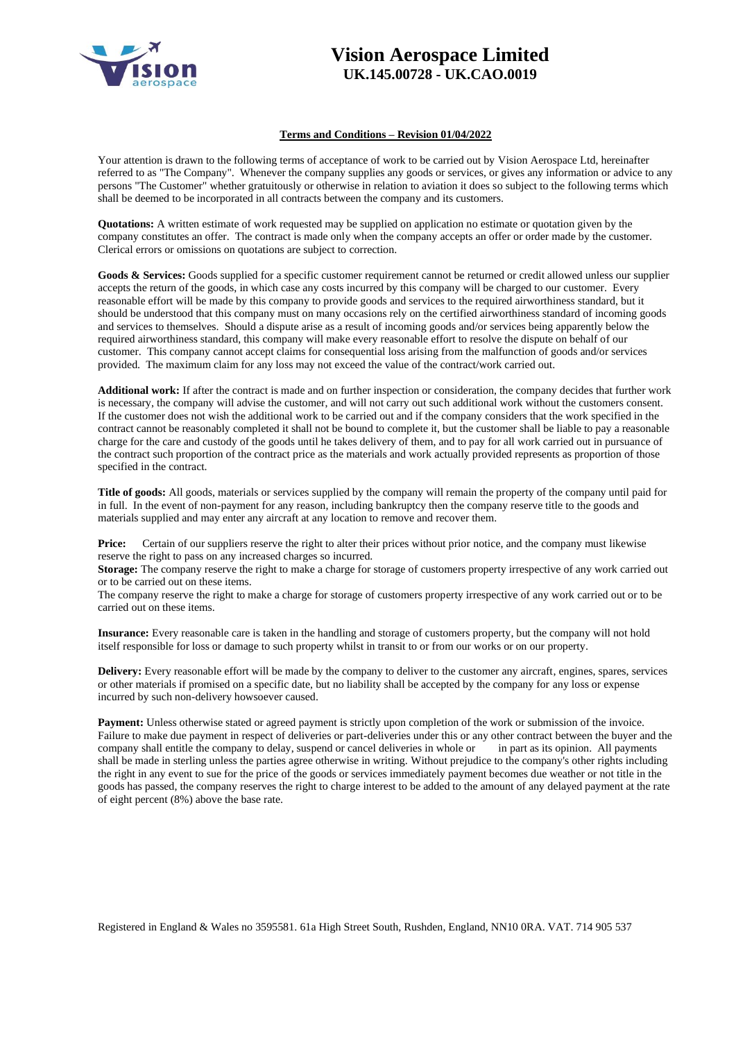

## **Vision Aerospace Limited UK.145.00728 - UK.CAO.0019**

## **Terms and Conditions – Revision 01/04/2022**

Your attention is drawn to the following terms of acceptance of work to be carried out by Vision Aerospace Ltd, hereinafter referred to as "The Company". Whenever the company supplies any goods or services, or gives any information or advice to any persons "The Customer" whether gratuitously or otherwise in relation to aviation it does so subject to the following terms which shall be deemed to be incorporated in all contracts between the company and its customers.

**Quotations:** A written estimate of work requested may be supplied on application no estimate or quotation given by the company constitutes an offer. The contract is made only when the company accepts an offer or order made by the customer. Clerical errors or omissions on quotations are subject to correction.

Goods & Services: Goods supplied for a specific customer requirement cannot be returned or credit allowed unless our supplier accepts the return of the goods, in which case any costs incurred by this company will be charged to our customer. Every reasonable effort will be made by this company to provide goods and services to the required airworthiness standard, but it should be understood that this company must on many occasions rely on the certified airworthiness standard of incoming goods and services to themselves. Should a dispute arise as a result of incoming goods and/or services being apparently below the required airworthiness standard, this company will make every reasonable effort to resolve the dispute on behalf of our customer. This company cannot accept claims for consequential loss arising from the malfunction of goods and/or services provided. The maximum claim for any loss may not exceed the value of the contract/work carried out.

**Additional work:** If after the contract is made and on further inspection or consideration, the company decides that further work is necessary, the company will advise the customer, and will not carry out such additional work without the customers consent. If the customer does not wish the additional work to be carried out and if the company considers that the work specified in the contract cannot be reasonably completed it shall not be bound to complete it, but the customer shall be liable to pay a reasonable charge for the care and custody of the goods until he takes delivery of them, and to pay for all work carried out in pursuance of the contract such proportion of the contract price as the materials and work actually provided represents as proportion of those specified in the contract.

**Title of goods:** All goods, materials or services supplied by the company will remain the property of the company until paid for in full. In the event of non-payment for any reason, including bankruptcy then the company reserve title to the goods and materials supplied and may enter any aircraft at any location to remove and recover them.

**Price:** Certain of our suppliers reserve the right to alter their prices without prior notice, and the company must likewise reserve the right to pass on any increased charges so incurred.

**Storage:** The company reserve the right to make a charge for storage of customers property irrespective of any work carried out or to be carried out on these items.

The company reserve the right to make a charge for storage of customers property irrespective of any work carried out or to be carried out on these items.

**Insurance:** Every reasonable care is taken in the handling and storage of customers property, but the company will not hold itself responsible for loss or damage to such property whilst in transit to or from our works or on our property.

**Delivery:** Every reasonable effort will be made by the company to deliver to the customer any aircraft, engines, spares, services or other materials if promised on a specific date, but no liability shall be accepted by the company for any loss or expense incurred by such non-delivery howsoever caused.

**Payment:** Unless otherwise stated or agreed payment is strictly upon completion of the work or submission of the invoice. Failure to make due payment in respect of deliveries or part-deliveries under this or any other contract between the buyer and the company shall entitle the company to delay, suspend or cancel deliveries in whole or in part as its opinion. All payments shall be made in sterling unless the parties agree otherwise in writing. Without prejudice to the company's other rights including the right in any event to sue for the price of the goods or services immediately payment becomes due weather or not title in the goods has passed, the company reserves the right to charge interest to be added to the amount of any delayed payment at the rate of eight percent (8%) above the base rate.

Registered in England & Wales no 3595581. 61a High Street South, Rushden, England, NN10 0RA. VAT. 714 905 537